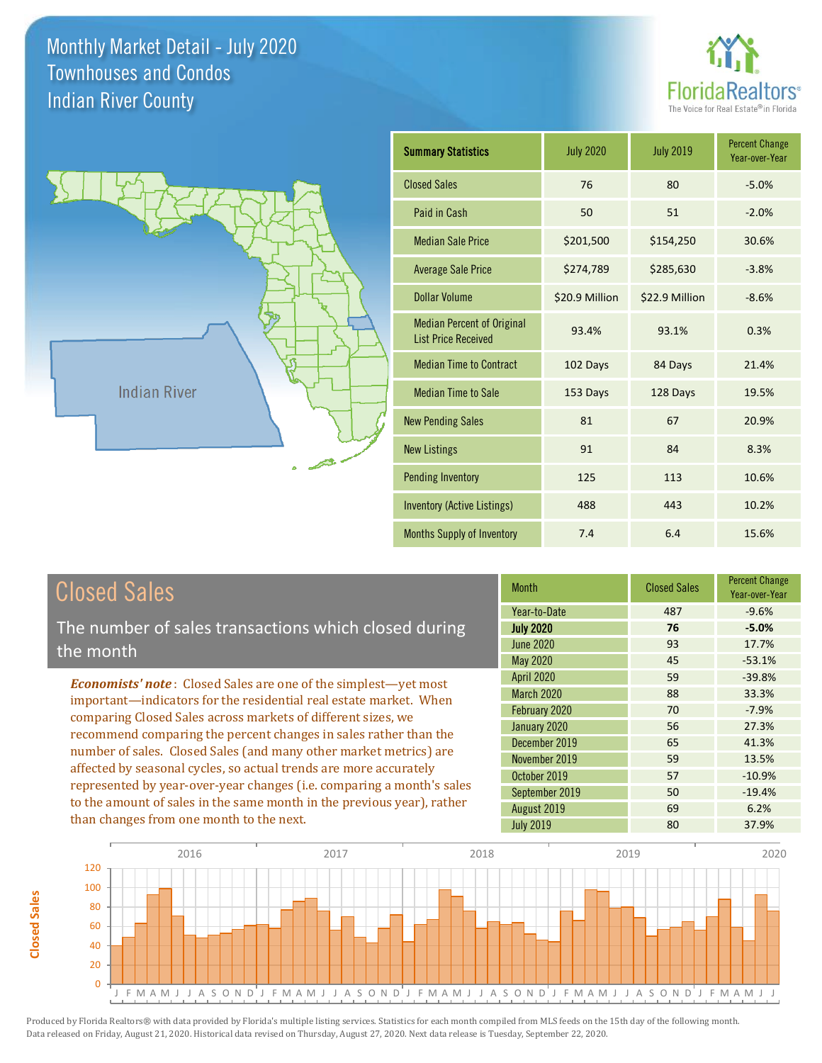**Closed Sales**

**Closed Sales** 





| <b>Summary Statistics</b>                                       | <b>July 2020</b> | <b>July 2019</b> | <b>Percent Change</b><br>Year-over-Year |
|-----------------------------------------------------------------|------------------|------------------|-----------------------------------------|
| <b>Closed Sales</b>                                             | 76               | 80               | $-5.0%$                                 |
| Paid in Cash                                                    | 50               | 51               | $-2.0%$                                 |
| <b>Median Sale Price</b>                                        | \$201,500        | \$154,250        | 30.6%                                   |
| <b>Average Sale Price</b>                                       | \$274,789        | \$285,630        | $-3.8%$                                 |
| Dollar Volume                                                   | \$20.9 Million   | \$22.9 Million   | $-8.6%$                                 |
| <b>Median Percent of Original</b><br><b>List Price Received</b> | 93.4%            | 93.1%            | 0.3%                                    |
| <b>Median Time to Contract</b>                                  | 102 Days         | 84 Days          | 21.4%                                   |
| <b>Median Time to Sale</b>                                      | 153 Days         | 128 Days         | 19.5%                                   |
| <b>New Pending Sales</b>                                        | 81               | 67               | 20.9%                                   |
| <b>New Listings</b>                                             | 91               | 84               | 8.3%                                    |
| <b>Pending Inventory</b>                                        | 125              | 113              | 10.6%                                   |
| <b>Inventory (Active Listings)</b>                              | 488              | 443              | 10.2%                                   |
| Months Supply of Inventory                                      | 7.4              | 6.4              | 15.6%                                   |

| <b>Closed Sales</b>                                                                                                                                                                                                                                                                                                                                                                                                                                                                                                                                                                                                      | <b>Month</b>                                                                                                              | <b>Closed Sales</b>                    | <b>Percent Change</b><br>Year-over-Year                             |
|--------------------------------------------------------------------------------------------------------------------------------------------------------------------------------------------------------------------------------------------------------------------------------------------------------------------------------------------------------------------------------------------------------------------------------------------------------------------------------------------------------------------------------------------------------------------------------------------------------------------------|---------------------------------------------------------------------------------------------------------------------------|----------------------------------------|---------------------------------------------------------------------|
| The number of sales transactions which closed during<br>the month                                                                                                                                                                                                                                                                                                                                                                                                                                                                                                                                                        | Year-to-Date<br><b>July 2020</b><br><b>June 2020</b><br>May 2020                                                          | 487<br>76<br>93<br>45                  | $-9.6%$<br>$-5.0%$<br>17.7%<br>$-53.1%$                             |
| <b>Economists' note:</b> Closed Sales are one of the simplest—yet most<br>important-indicators for the residential real estate market. When<br>comparing Closed Sales across markets of different sizes, we<br>recommend comparing the percent changes in sales rather than the<br>number of sales. Closed Sales (and many other market metrics) are<br>affected by seasonal cycles, so actual trends are more accurately<br>represented by year-over-year changes (i.e. comparing a month's sales<br>to the amount of sales in the same month in the previous year), rather<br>than changes from one month to the next. | <b>April 2020</b><br><b>March 2020</b><br>February 2020<br>January 2020<br>December 2019<br>November 2019<br>October 2019 | 59<br>88<br>70<br>56<br>65<br>59<br>57 | $-39.8%$<br>33.3%<br>$-7.9%$<br>27.3%<br>41.3%<br>13.5%<br>$-10.9%$ |
|                                                                                                                                                                                                                                                                                                                                                                                                                                                                                                                                                                                                                          | September 2019<br>August 2019<br><b>July 2019</b>                                                                         | 50<br>69<br>80                         | $-19.4%$<br>6.2%<br>37.9%                                           |

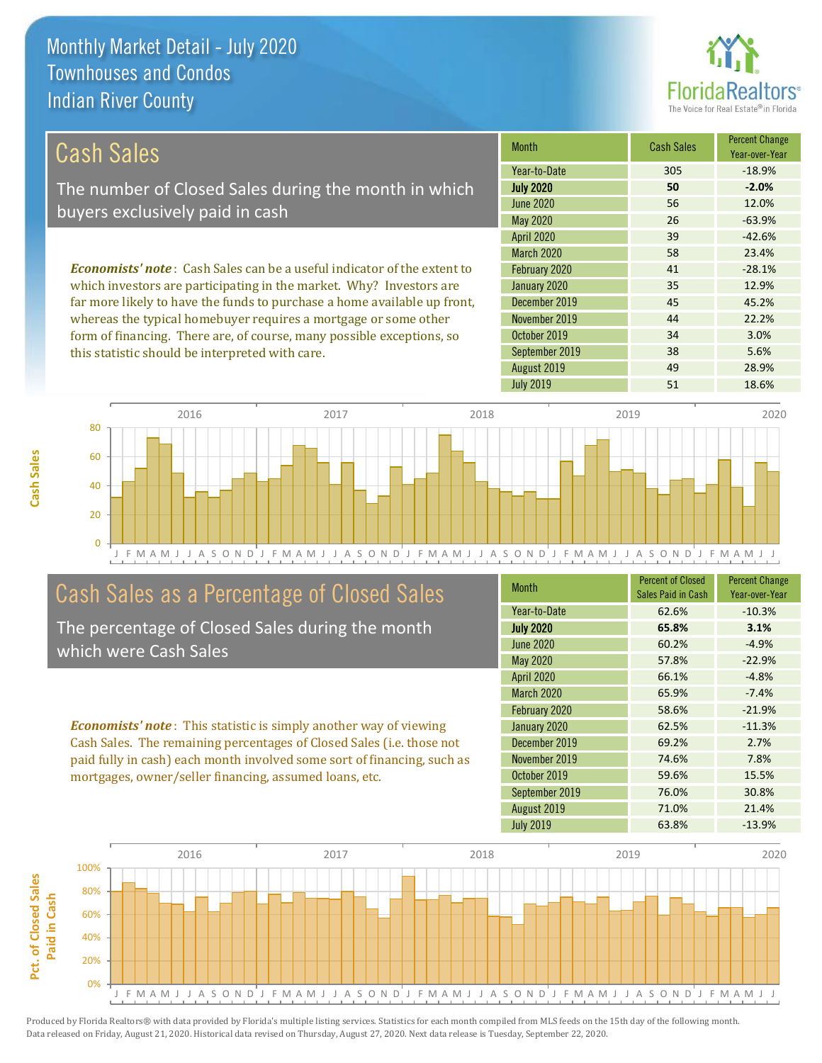

34 3.0%

38 5.6%

| Cash Sales                                                                     | <b>Month</b>      | <b>Cash Sales</b> | <b>Percent Change</b><br>Year-over-Year |
|--------------------------------------------------------------------------------|-------------------|-------------------|-----------------------------------------|
|                                                                                | Year-to-Date      | 305               | $-18.9%$                                |
| The number of Closed Sales during the month in which                           | <b>July 2020</b>  | 50                | $-2.0%$                                 |
| buyers exclusively paid in cash                                                | June 2020         | 56                | 12.0%                                   |
|                                                                                | May 2020          | 26                | $-63.9%$                                |
|                                                                                | <b>April 2020</b> | 39                | $-42.6%$                                |
|                                                                                | <b>March 2020</b> | 58                | 23.4%                                   |
| <b>Economists' note:</b> Cash Sales can be a useful indicator of the extent to | February 2020     | 41                | $-28.1%$                                |
| which investors are participating in the market. Why? Investors are            | January 2020      | 35                | 12.9%                                   |
| far more likely to have the funds to purchase a home available up front,       | December 2019     | 45                | 45.2%                                   |
| whereas the typical homebuyer requires a mortgage or some other                | November 2019     | 44                | 22.2%                                   |

J F M A M J J A S O N D J F M A M J J A S O N D J F M A M J J A S O N D J F M A M J J A S O N D J F M A M J J 0 20 40 60 80 2016 2017 2018 2019 2020

## Cash Sales as a Percentage of Closed Sales

form of financing. There are, of course, many possible exceptions, so

this statistic should be interpreted with care.

The percentage of Closed Sales during the month which were Cash Sales

*Economists' note* : This statistic is simply another way of viewing Cash Sales. The remaining percentages of Closed Sales (i.e. those not paid fully in cash) each month involved some sort of financing, such as mortgages, owner/seller financing, assumed loans, etc.

| <b>Month</b>      | <b>Percent of Closed</b><br>Sales Paid in Cash | <b>Percent Change</b><br>Year-over-Year |
|-------------------|------------------------------------------------|-----------------------------------------|
| Year-to-Date      | 62.6%                                          | $-10.3%$                                |
| <b>July 2020</b>  | 65.8%                                          | 3.1%                                    |
| <b>June 2020</b>  | 60.2%                                          | $-4.9%$                                 |
| May 2020          | 57.8%                                          | $-22.9%$                                |
| <b>April 2020</b> | 66.1%                                          | $-4.8%$                                 |
| <b>March 2020</b> | 65.9%                                          | $-7.4%$                                 |
| February 2020     | 58.6%                                          | $-21.9%$                                |
| January 2020      | 62.5%                                          | $-11.3%$                                |
| December 2019     | 69.2%                                          | 2.7%                                    |
| November 2019     | 74.6%                                          | 7.8%                                    |
| October 2019      | 59.6%                                          | 15.5%                                   |
| September 2019    | 76.0%                                          | 30.8%                                   |
| August 2019       | 71.0%                                          | 21.4%                                   |
| <b>July 2019</b>  | 63.8%                                          | $-13.9%$                                |

July 2019 **51** 18.6%

August 2019 **49** 28.9%

September 2019

October 2019

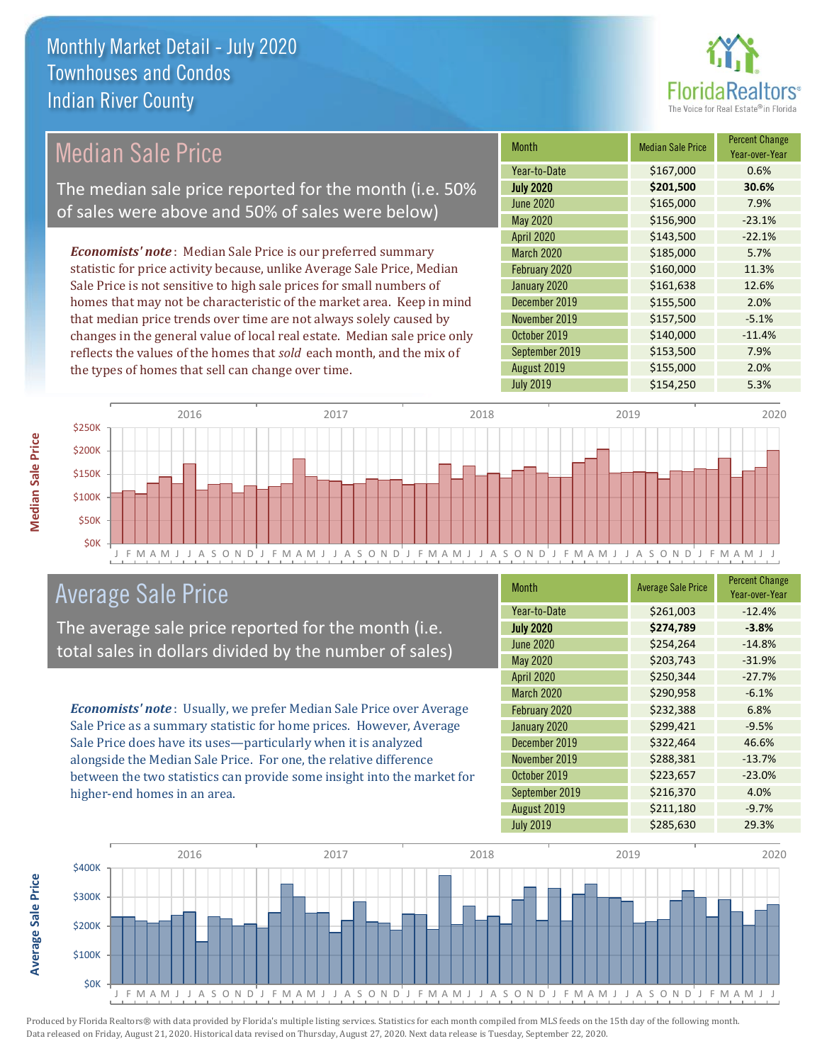

## Median Sale Price

The median sale price reported for the month (i.e. 50% of sales were above and 50% of sales were below)

*Economists' note* : Median Sale Price is our preferred summary statistic for price activity because, unlike Average Sale Price, Median Sale Price is not sensitive to high sale prices for small numbers of homes that may not be characteristic of the market area. Keep in mind that median price trends over time are not always solely caused by changes in the general value of local real estate. Median sale price only reflects the values of the homes that *sold* each month, and the mix of the types of homes that sell can change over time.

| <b>Month</b>      | <b>Median Sale Price</b> | <b>Percent Change</b><br>Year-over-Year |
|-------------------|--------------------------|-----------------------------------------|
| Year-to-Date      | \$167,000                | 0.6%                                    |
| <b>July 2020</b>  | \$201,500                | 30.6%                                   |
| <b>June 2020</b>  | \$165,000                | 7.9%                                    |
| <b>May 2020</b>   | \$156,900                | $-23.1%$                                |
| <b>April 2020</b> | \$143,500                | $-22.1%$                                |
| <b>March 2020</b> | \$185,000                | 5.7%                                    |
| February 2020     | \$160,000                | 11.3%                                   |
| January 2020      | \$161,638                | 12.6%                                   |
| December 2019     | \$155,500                | 2.0%                                    |
| November 2019     | \$157,500                | $-5.1%$                                 |
| October 2019      | \$140,000                | $-11.4%$                                |
| September 2019    | \$153,500                | 7.9%                                    |
| August 2019       | \$155,000                | 2.0%                                    |
| <b>July 2019</b>  | \$154,250                | 5.3%                                    |



### Average Sale Price

The average sale price reported for the month (i.e. total sales in dollars divided by the number of sales)

*Economists' note* : Usually, we prefer Median Sale Price over Average Sale Price as a summary statistic for home prices. However, Average Sale Price does have its uses—particularly when it is analyzed alongside the Median Sale Price. For one, the relative difference between the two statistics can provide some insight into the market for higher-end homes in an area.

| Month            | <b>Average Sale Price</b> | <b>Percent Change</b><br>Year-over-Year |
|------------------|---------------------------|-----------------------------------------|
| Year-to-Date     | \$261,003                 | $-12.4%$                                |
| <b>July 2020</b> | \$274,789                 | $-3.8%$                                 |
| <b>June 2020</b> | \$254,264                 | $-14.8%$                                |
| May 2020         | \$203,743                 | $-31.9%$                                |
| April 2020       | \$250,344                 | $-27.7%$                                |
| March 2020       | \$290,958                 | $-6.1%$                                 |
| February 2020    | \$232,388                 | 6.8%                                    |
| January 2020     | \$299,421                 | $-9.5%$                                 |
| December 2019    | \$322,464                 | 46.6%                                   |
| November 2019    | \$288,381                 | $-13.7%$                                |
| October 2019     | \$223,657                 | $-23.0%$                                |
| September 2019   | \$216,370                 | 4.0%                                    |
| August 2019      | \$211,180                 | $-9.7%$                                 |
| <b>July 2019</b> | \$285,630                 | 29.3%                                   |



Average Sale Price

**Median Sale Price**

**Median Sale Price**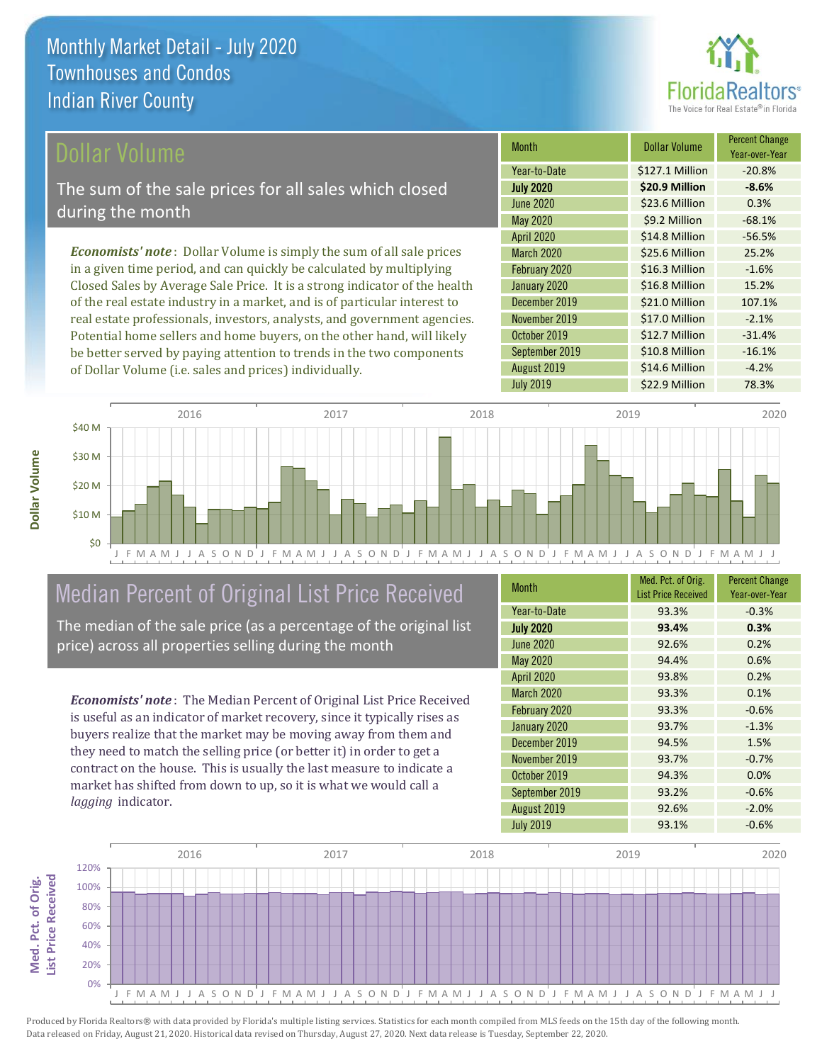

#### ollar Volume

The sum of the sale prices for all sales which closed during the month

*Economists' note* : Dollar Volume is simply the sum of all sale prices in a given time period, and can quickly be calculated by multiplying Closed Sales by Average Sale Price. It is a strong indicator of the health of the real estate industry in a market, and is of particular interest to real estate professionals, investors, analysts, and government agencies. Potential home sellers and home buyers, on the other hand, will likely be better served by paying attention to trends in the two components of Dollar Volume (i.e. sales and prices) individually.

| <b>Month</b>      | Dollar Volume   | <b>Percent Change</b><br>Year-over-Year |
|-------------------|-----------------|-----------------------------------------|
| Year-to-Date      | \$127.1 Million | $-20.8%$                                |
| <b>July 2020</b>  | \$20.9 Million  | $-8.6%$                                 |
| <b>June 2020</b>  | \$23.6 Million  | 0.3%                                    |
| May 2020          | \$9.2 Million   | $-68.1%$                                |
| <b>April 2020</b> | \$14.8 Million  | $-56.5%$                                |
| <b>March 2020</b> | \$25.6 Million  | 25.2%                                   |
| February 2020     | \$16.3 Million  | $-1.6%$                                 |
| January 2020      | \$16.8 Million  | 15.2%                                   |
| December 2019     | \$21.0 Million  | 107.1%                                  |
| November 2019     | \$17.0 Million  | $-2.1%$                                 |
| October 2019      | \$12.7 Million  | $-31.4%$                                |
| September 2019    | \$10.8 Million  | $-16.1%$                                |
| August 2019       | \$14.6 Million  | $-4.2%$                                 |
| <b>July 2019</b>  | \$22.9 Million  | 78.3%                                   |



# Median Percent of Original List Price Received

The median of the sale price (as a percentage of the original list price) across all properties selling during the month

*Economists' note* : The Median Percent of Original List Price Received is useful as an indicator of market recovery, since it typically rises as buyers realize that the market may be moving away from them and they need to match the selling price (or better it) in order to get a contract on the house. This is usually the last measure to indicate a market has shifted from down to up, so it is what we would call a *lagging* indicator.

| <b>Month</b>      | Med. Pct. of Orig.<br><b>List Price Received</b> | <b>Percent Change</b><br>Year-over-Year |
|-------------------|--------------------------------------------------|-----------------------------------------|
| Year-to-Date      | 93.3%                                            | $-0.3%$                                 |
| <b>July 2020</b>  | 93.4%                                            | 0.3%                                    |
| <b>June 2020</b>  | 92.6%                                            | 0.2%                                    |
| <b>May 2020</b>   | 94.4%                                            | 0.6%                                    |
| April 2020        | 93.8%                                            | 0.2%                                    |
| <b>March 2020</b> | 93.3%                                            | 0.1%                                    |
| February 2020     | 93.3%                                            | $-0.6%$                                 |
| January 2020      | 93.7%                                            | $-1.3%$                                 |
| December 2019     | 94.5%                                            | 1.5%                                    |
| November 2019     | 93.7%                                            | $-0.7%$                                 |
| October 2019      | 94.3%                                            | 0.0%                                    |
| September 2019    | 93.2%                                            | $-0.6%$                                 |
| August 2019       | 92.6%                                            | $-2.0%$                                 |
| <b>July 2019</b>  | 93.1%                                            | $-0.6%$                                 |

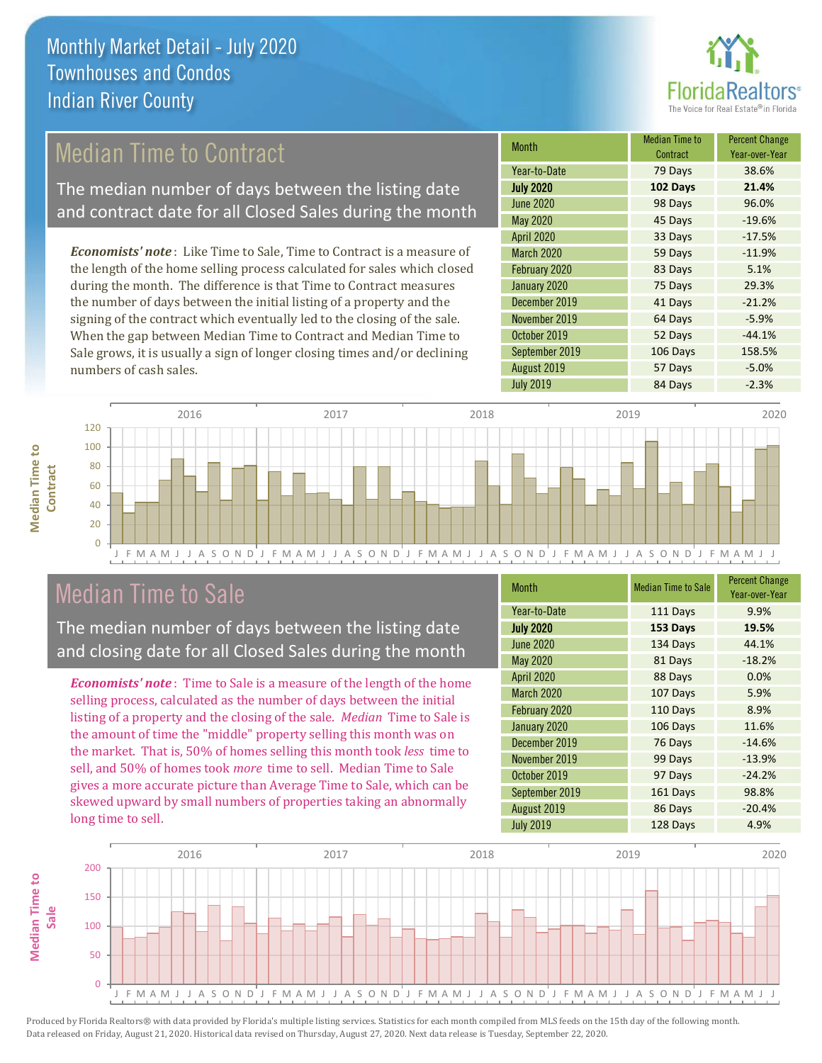

## Median Time to Contract

The median number of days between the listing date and contract date for all Closed Sales during the month

*Economists' note* : Like Time to Sale, Time to Contract is a measure of the length of the home selling process calculated for sales which closed during the month. The difference is that Time to Contract measures the number of days between the initial listing of a property and the signing of the contract which eventually led to the closing of the sale. When the gap between Median Time to Contract and Median Time to Sale grows, it is usually a sign of longer closing times and/or declining numbers of cash sales.

| <b>Month</b>      | <b>Median Time to</b><br>Contract | <b>Percent Change</b><br>Year-over-Year |
|-------------------|-----------------------------------|-----------------------------------------|
| Year-to-Date      | 79 Days                           | 38.6%                                   |
| <b>July 2020</b>  | 102 Days                          | 21.4%                                   |
| <b>June 2020</b>  | 98 Days                           | 96.0%                                   |
| <b>May 2020</b>   | 45 Days                           | $-19.6%$                                |
| <b>April 2020</b> | 33 Days                           | $-17.5%$                                |
| <b>March 2020</b> | 59 Days                           | $-11.9%$                                |
| February 2020     | 83 Days                           | 5.1%                                    |
| January 2020      | 75 Days                           | 29.3%                                   |
| December 2019     | 41 Days                           | $-21.2%$                                |
| November 2019     | 64 Days                           | $-5.9%$                                 |
| October 2019      | 52 Days                           | $-44.1%$                                |
| September 2019    | 106 Days                          | 158.5%                                  |
| August 2019       | 57 Days                           | $-5.0%$                                 |
| <b>July 2019</b>  | 84 Days                           | $-2.3%$                                 |



### Median Time to Sale

**Median Time to Contract**

**Median Time to** 

The median number of days between the listing date and closing date for all Closed Sales during the month

*Economists' note* : Time to Sale is a measure of the length of the home selling process, calculated as the number of days between the initial listing of a property and the closing of the sale. *Median* Time to Sale is the amount of time the "middle" property selling this month was on the market. That is, 50% of homes selling this month took *less* time to sell, and 50% of homes took *more* time to sell. Median Time to Sale gives a more accurate picture than Average Time to Sale, which can be skewed upward by small numbers of properties taking an abnormally long time to sell.

| <b>Month</b>      | <b>Median Time to Sale</b> | <b>Percent Change</b><br>Year-over-Year |
|-------------------|----------------------------|-----------------------------------------|
| Year-to-Date      | 111 Days                   | 9.9%                                    |
| <b>July 2020</b>  | 153 Days                   | 19.5%                                   |
| <b>June 2020</b>  | 134 Days                   | 44.1%                                   |
| <b>May 2020</b>   | 81 Days                    | $-18.2%$                                |
| April 2020        | 88 Days                    | 0.0%                                    |
| <b>March 2020</b> | 107 Days                   | 5.9%                                    |
| February 2020     | 110 Days                   | 8.9%                                    |
| January 2020      | 106 Days                   | 11.6%                                   |
| December 2019     | 76 Days                    | $-14.6%$                                |
| November 2019     | 99 Days                    | $-13.9%$                                |
| October 2019      | 97 Days                    | $-24.2%$                                |
| September 2019    | 161 Days                   | 98.8%                                   |
| August 2019       | 86 Days                    | $-20.4%$                                |
| <b>July 2019</b>  | 128 Days                   | 4.9%                                    |

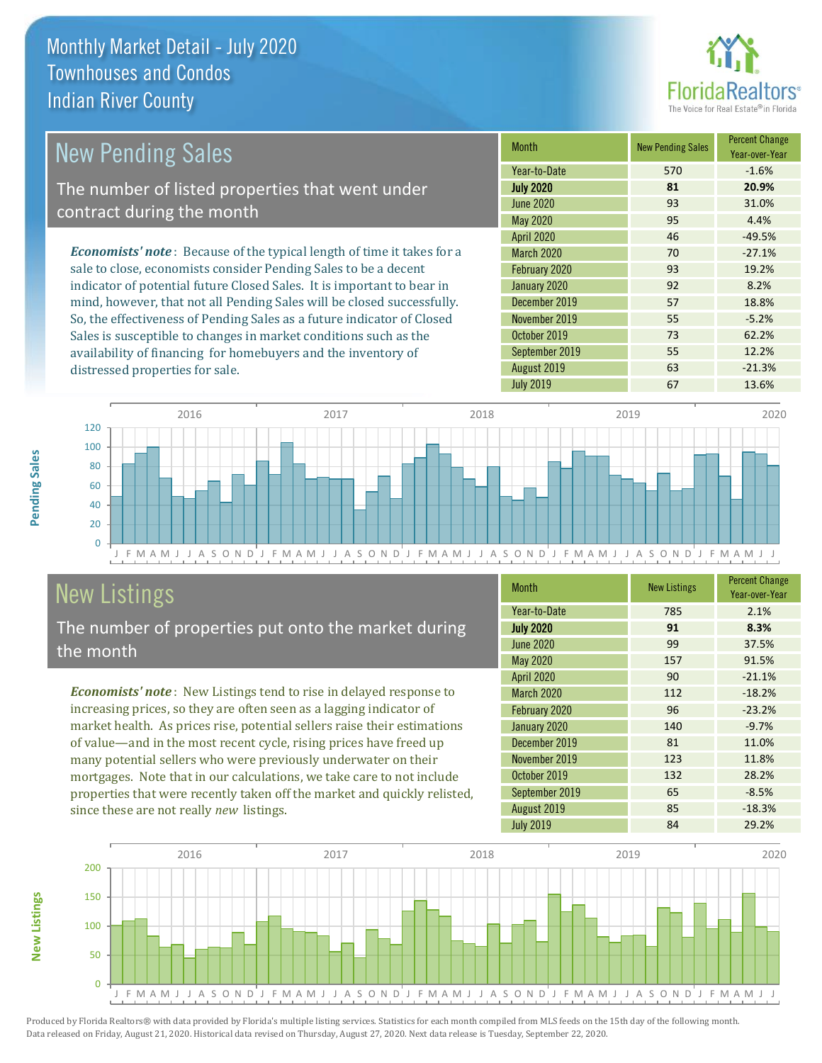distressed properties for sale.



| <b>New Pending Sales</b>                                                       | <b>Month</b>      | <b>New Pending Sales</b> | <b>Percent Change</b><br>Year-over-Year |
|--------------------------------------------------------------------------------|-------------------|--------------------------|-----------------------------------------|
|                                                                                | Year-to-Date      | 570                      | $-1.6%$                                 |
| The number of listed properties that went under                                | <b>July 2020</b>  | 81                       | 20.9%                                   |
| contract during the month                                                      | June 2020         | 93                       | 31.0%                                   |
|                                                                                | May 2020          | 95                       | 4.4%                                    |
|                                                                                | <b>April 2020</b> | 46                       | $-49.5%$                                |
| <b>Economists' note</b> : Because of the typical length of time it takes for a | <b>March 2020</b> | 70                       | $-27.1%$                                |
| sale to close, economists consider Pending Sales to be a decent                | February 2020     | 93                       | 19.2%                                   |
| indicator of potential future Closed Sales. It is important to bear in         | January 2020      | 92                       | 8.2%                                    |
| mind, however, that not all Pending Sales will be closed successfully.         | December 2019     | 57                       | 18.8%                                   |
| So, the effectiveness of Pending Sales as a future indicator of Closed         | November 2019     | 55                       | $-5.2%$                                 |
| Sales is susceptible to changes in market conditions such as the               | October 2019      | 73                       | 62.2%                                   |

J F M A M J J A S O N D J F M A M J J A S O N D J F M A M J J A S O N D J F M A M J J A S O N D J F M A M J J  $\Omega$ 20 40 60 80 100 120 2016 2017 2018 2019 2020

# New Listings

The number of properties put onto the market during the month

availability of financing for homebuyers and the inventory of

*Economists' note* : New Listings tend to rise in delayed response to increasing prices, so they are often seen as a lagging indicator of market health. As prices rise, potential sellers raise their estimations of value—and in the most recent cycle, rising prices have freed up many potential sellers who were previously underwater on their mortgages. Note that in our calculations, we take care to not include properties that were recently taken off the market and quickly relisted, since these are not really *new* listings.

| <b>Month</b>     | <b>New Listings</b> | <b>Percent Change</b><br>Year-over-Year |
|------------------|---------------------|-----------------------------------------|
| Year-to-Date     | 785                 | 2.1%                                    |
| <b>July 2020</b> | 91                  | 8.3%                                    |
| <b>June 2020</b> | 99                  | 37.5%                                   |
| <b>May 2020</b>  | 157                 | 91.5%                                   |
| April 2020       | 90                  | $-21.1%$                                |
| March 2020       | 112                 | $-18.2%$                                |
| February 2020    | 96                  | $-23.2%$                                |
| January 2020     | 140                 | $-9.7%$                                 |
| December 2019    | 81                  | 11.0%                                   |
| November 2019    | 123                 | 11.8%                                   |
| October 2019     | 132                 | 28.2%                                   |
| September 2019   | 65                  | $-8.5%$                                 |
| August 2019      | 85                  | $-18.3%$                                |
| <b>July 2019</b> | 84                  | 29.2%                                   |

September 2019 **55** 12.2% August 2019 **63** -21.3% July 2019 **67** 13.6%



Produced by Florida Realtors® with data provided by Florida's multiple listing services. Statistics for each month compiled from MLS feeds on the 15th day of the following month. Data released on Friday, August 21, 2020. Historical data revised on Thursday, August 27, 2020. Next data release is Tuesday, September 22, 2020.

**New Listings**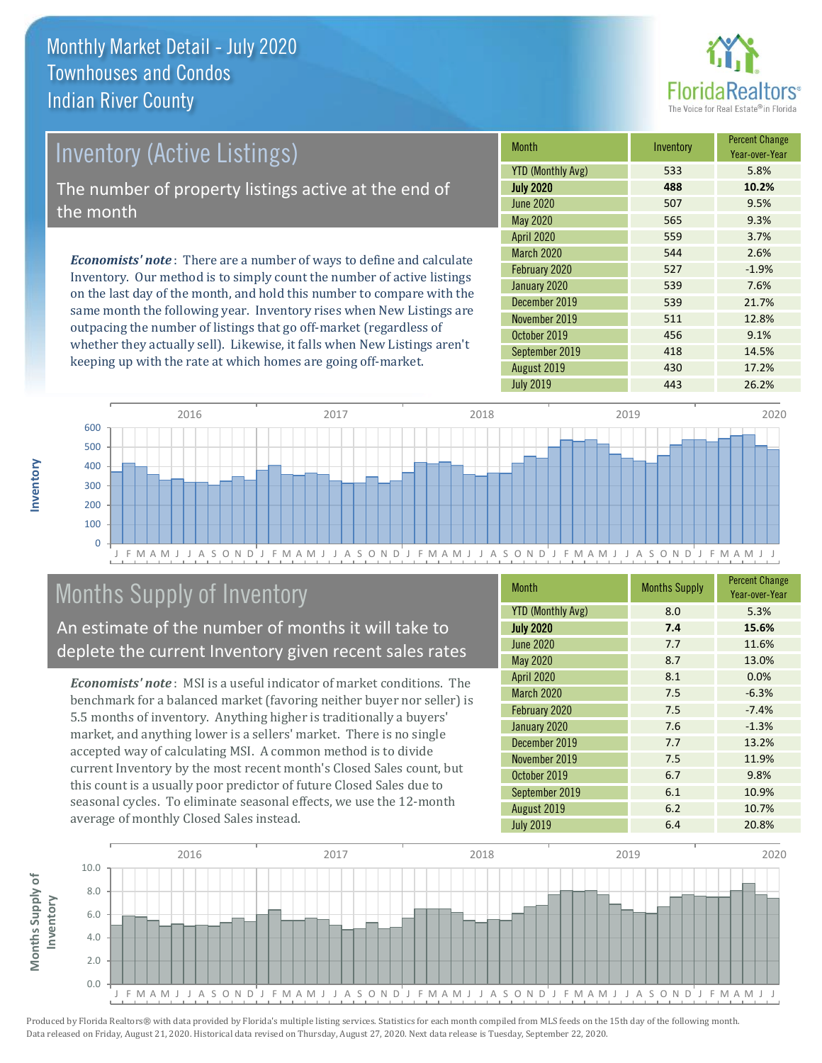

# Inventory (Active Listings)

The number of property listings active at the end of the month

*Economists' note* : There are a number of ways to define and calculate Inventory. Our method is to simply count the number of active listings on the last day of the month, and hold this number to compare with the same month the following year. Inventory rises when New Listings are outpacing the number of listings that go off-market (regardless of whether they actually sell). Likewise, it falls when New Listings aren't keeping up with the rate at which homes are going off-market.

| Month                    | Inventory | <b>Percent Change</b><br>Year-over-Year |
|--------------------------|-----------|-----------------------------------------|
| <b>YTD (Monthly Avg)</b> | 533       | 5.8%                                    |
| <b>July 2020</b>         | 488       | 10.2%                                   |
| <b>June 2020</b>         | 507       | 9.5%                                    |
| May 2020                 | 565       | 9.3%                                    |
| <b>April 2020</b>        | 559       | 3.7%                                    |
| <b>March 2020</b>        | 544       | 2.6%                                    |
| February 2020            | 527       | $-1.9%$                                 |
| January 2020             | 539       | 7.6%                                    |
| December 2019            | 539       | 21.7%                                   |
| November 2019            | 511       | 12.8%                                   |
| October 2019             | 456       | 9.1%                                    |
| September 2019           | 418       | 14.5%                                   |
| August 2019              | 430       | 17.2%                                   |
| <b>July 2019</b>         | 443       | 26.2%                                   |



# Months Supply of Inventory

An estimate of the number of months it will take to deplete the current Inventory given recent sales rates

*Economists' note* : MSI is a useful indicator of market conditions. The benchmark for a balanced market (favoring neither buyer nor seller) is 5.5 months of inventory. Anything higher is traditionally a buyers' market, and anything lower is a sellers' market. There is no single accepted way of calculating MSI. A common method is to divide current Inventory by the most recent month's Closed Sales count, but this count is a usually poor predictor of future Closed Sales due to seasonal cycles. To eliminate seasonal effects, we use the 12-month average of monthly Closed Sales instead.

| <b>Month</b>             | <b>Months Supply</b> | <b>Percent Change</b><br>Year-over-Year |
|--------------------------|----------------------|-----------------------------------------|
| <b>YTD (Monthly Avg)</b> | 8.0                  | 5.3%                                    |
| <b>July 2020</b>         | 7.4                  | 15.6%                                   |
| <b>June 2020</b>         | 7.7                  | 11.6%                                   |
| May 2020                 | 8.7                  | 13.0%                                   |
| April 2020               | 8.1                  | 0.0%                                    |
| March 2020               | 7.5                  | $-6.3%$                                 |
| February 2020            | 7.5                  | $-7.4%$                                 |
| January 2020             | 7.6                  | $-1.3%$                                 |
| December 2019            | 7.7                  | 13.2%                                   |
| November 2019            | 7.5                  | 11.9%                                   |
| October 2019             | 6.7                  | 9.8%                                    |
| September 2019           | 6.1                  | 10.9%                                   |
| August 2019              | 6.2                  | 10.7%                                   |
| <b>July 2019</b>         | 6.4                  | 20.8%                                   |

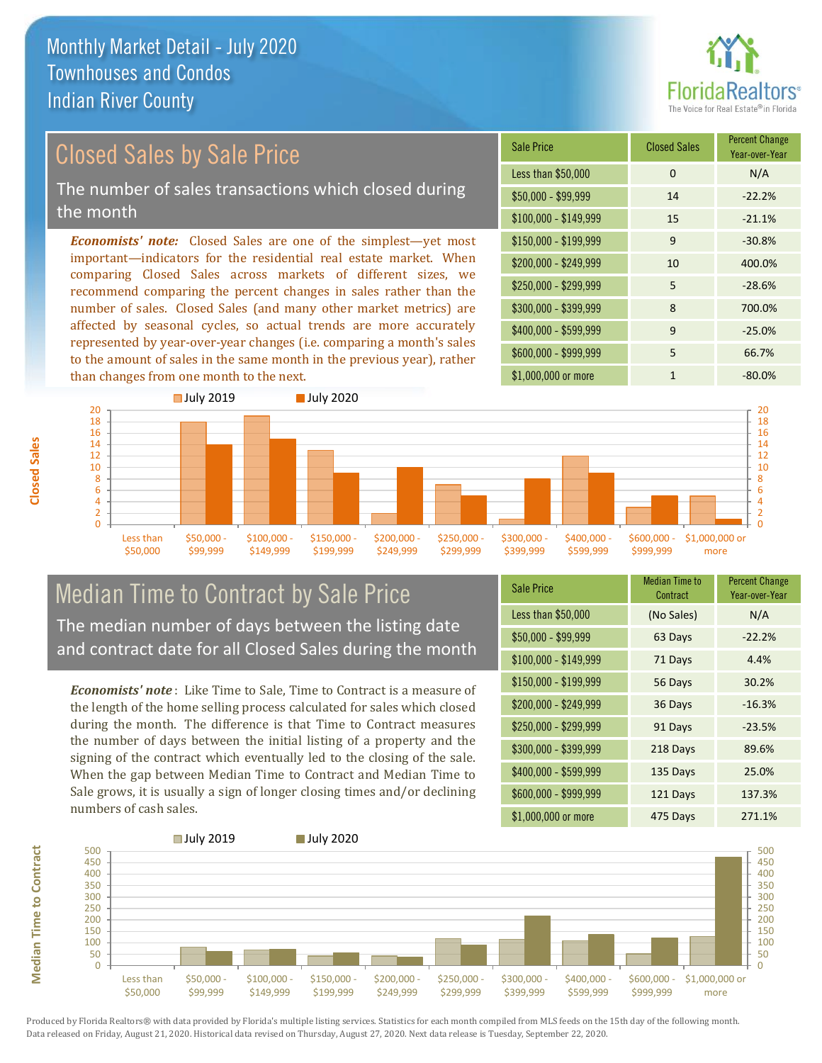

# Closed Sales by Sale Price

The number of sales transactions which closed during the month

*Economists' note:* Closed Sales are one of the simplest—yet most important—indicators for the residential real estate market. When comparing Closed Sales across markets of different sizes, we recommend comparing the percent changes in sales rather than the number of sales. Closed Sales (and many other market metrics) are affected by seasonal cycles, so actual trends are more accurately represented by year-over-year changes (i.e. comparing a month's sales to the amount of sales in the same month in the previous year), rather than changes from one month to the next.





#### Median Time to Contract by Sale Price The median number of days between the listing date and contract date for all Closed Sales during the month

*Economists' note* : Like Time to Sale, Time to Contract is a measure of the length of the home selling process calculated for sales which closed during the month. The difference is that Time to Contract measures the number of days between the initial listing of a property and the signing of the contract which eventually led to the closing of the sale. When the gap between Median Time to Contract and Median Time to Sale grows, it is usually a sign of longer closing times and/or declining numbers of cash sales.

| <b>Sale Price</b>     | Median Time to<br>Contract | <b>Percent Change</b><br>Year-over-Year |
|-----------------------|----------------------------|-----------------------------------------|
| Less than \$50,000    | (No Sales)                 | N/A                                     |
| $$50,000 - $99,999$   | 63 Days                    | $-22.2%$                                |
| $$100,000 - $149,999$ | 71 Days                    | 4.4%                                    |
| $$150,000 - $199,999$ | 56 Days                    | 30.2%                                   |
| \$200,000 - \$249,999 | 36 Days                    | $-16.3%$                                |
| \$250,000 - \$299,999 | 91 Days                    | $-23.5%$                                |
| \$300,000 - \$399,999 | 218 Days                   | 89.6%                                   |
| \$400,000 - \$599,999 | 135 Days                   | 25.0%                                   |
| \$600,000 - \$999,999 | 121 Days                   | 137.3%                                  |
| \$1,000,000 or more   | 475 Days                   | 271.1%                                  |



Produced by Florida Realtors® with data provided by Florida's multiple listing services. Statistics for each month compiled from MLS feeds on the 15th day of the following month. Data released on Friday, August 21, 2020. Historical data revised on Thursday, August 27, 2020. Next data release is Tuesday, September 22, 2020.

**Median Time to Contract**

**Median Time to Contract**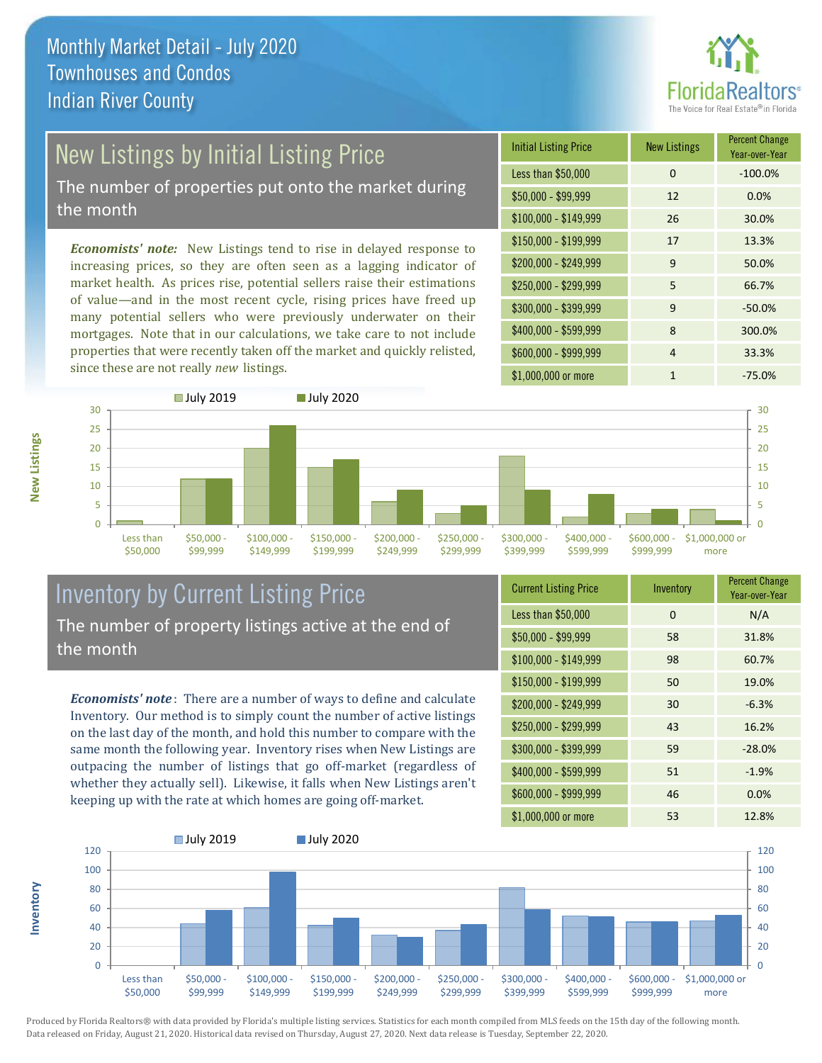

# New Listings by Initial Listing Price

The number of properties put onto the market during the month

*Economists' note:* New Listings tend to rise in delayed response to increasing prices, so they are often seen as a lagging indicator of market health. As prices rise, potential sellers raise their estimations of value—and in the most recent cycle, rising prices have freed up many potential sellers who were previously underwater on their mortgages. Note that in our calculations, we take care to not include properties that were recently taken off the market and quickly relisted, since these are not really *new* listings.

| <b>Initial Listing Price</b> | <b>New Listings</b> | <b>Percent Change</b><br>Year-over-Year |
|------------------------------|---------------------|-----------------------------------------|
| Less than \$50,000           | $\Omega$            | $-100.0%$                               |
| $$50,000 - $99,999$          | 12                  | 0.0%                                    |
| $$100,000 - $149,999$        | 26                  | 30.0%                                   |
| $$150,000 - $199,999$        | 17                  | 13.3%                                   |
| \$200,000 - \$249,999        | $\mathsf{q}$        | 50.0%                                   |
| \$250,000 - \$299,999        | 5                   | 66.7%                                   |
| \$300,000 - \$399,999        | 9                   | $-50.0%$                                |
| \$400,000 - \$599,999        | 8                   | 300.0%                                  |
| \$600,000 - \$999,999        | 4                   | 33.3%                                   |
| \$1,000,000 or more          | 1                   | $-75.0%$                                |



### Inventory by Current Listing Price The number of property listings active at the end of the month

*Economists' note* : There are a number of ways to define and calculate Inventory. Our method is to simply count the number of active listings on the last day of the month, and hold this number to compare with the same month the following year. Inventory rises when New Listings are outpacing the number of listings that go off-market (regardless of whether they actually sell). Likewise, it falls when New Listings aren't keeping up with the rate at which homes are going off-market.

| <b>Current Listing Price</b> | Inventory | <b>Percent Change</b><br>Year-over-Year |
|------------------------------|-----------|-----------------------------------------|
| Less than \$50,000           | 0         | N/A                                     |
| $$50,000 - $99,999$          | 58        | 31.8%                                   |
| $$100,000 - $149,999$        | 98        | 60.7%                                   |
| $$150,000 - $199,999$        | 50        | 19.0%                                   |
| \$200,000 - \$249,999        | 30        | $-6.3%$                                 |
| \$250,000 - \$299,999        | 43        | 16.2%                                   |
| \$300,000 - \$399,999        | 59        | $-28.0%$                                |
| \$400,000 - \$599,999        | 51        | $-1.9%$                                 |
| \$600,000 - \$999,999        | 46        | 0.0%                                    |
| \$1,000,000 or more          | 53        | 12.8%                                   |



Produced by Florida Realtors® with data provided by Florida's multiple listing services. Statistics for each month compiled from MLS feeds on the 15th day of the following month. Data released on Friday, August 21, 2020. Historical data revised on Thursday, August 27, 2020. Next data release is Tuesday, September 22, 2020.

**Inventory**